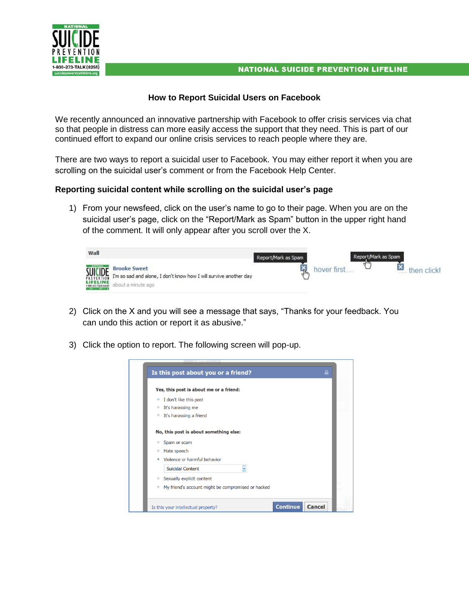



## **How to Report Suicidal Users on Facebook**

We recently announced an innovative partnership with Facebook to offer crisis services via chat so that people in distress can more easily access the support that they need. This is part of our continued effort to expand our online crisis services to reach people where they are.

There are two ways to report a suicidal user to Facebook. You may either report it when you are scrolling on the suicidal user's comment or from the Facebook Help Center.

## **Reporting suicidal content while scrolling on the suicidal user's page**

1) From your newsfeed, click on the user's name to go to their page. When you are on the suicidal user's page, click on the "Report/Mark as Spam" button in the upper right hand of the comment. It will only appear after you scroll over the X.



- 2) Click on the X and you will see a message that says, "Thanks for your feedback. You can [undo](https://www.facebook.com/profile.php?id=10901665) this action or [report](https://www.facebook.com/ajax/report.php?content_type=5&cid=233615766709293&rid=10901665&profile=10901665&h=Afipknvaa4qirUt2&is_permalink=0&stream_id=10901665&story_div_id=stream_story_4eea37ea9f3553832988166&story_fbid=233615766709293&from_inline=1) it as abusive."
- 3) Click the option to report. The following screen will pop-up.

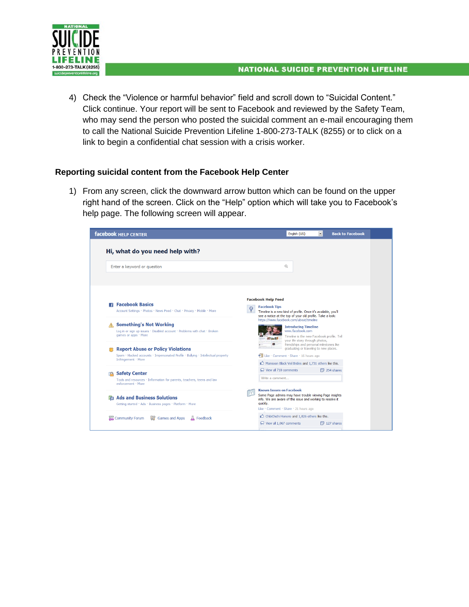## **NATIONAL SUICIDE PREVENTION LIFELINE**



4) Check the "Violence or harmful behavior" field and scroll down to "Suicidal Content." Click continue. Your report will be sent to Facebook and reviewed by the Safety Team, who may send the person who posted the suicidal comment an e-mail encouraging them to call the National Suicide Prevention Lifeline 1-800-273-TALK (8255) or to click on a link to begin a confidential chat session with a crisis worker.

## **Reporting suicidal content from the Facebook Help Center**

1) From any screen, click the downward arrow button which can be found on the upper right hand of the screen. Click on the "Help" option which will take you to Facebook's help page. The following screen will appear.

| <b>facebook HELP CENTER</b>                                                                        | $\blacktriangledown$<br>English (US)<br><b>Back to Facebook</b>                                                                                                                                               |
|----------------------------------------------------------------------------------------------------|---------------------------------------------------------------------------------------------------------------------------------------------------------------------------------------------------------------|
| Hi, what do you need help with?                                                                    |                                                                                                                                                                                                               |
| Enter a keyword or question                                                                        | $\alpha$                                                                                                                                                                                                      |
|                                                                                                    |                                                                                                                                                                                                               |
|                                                                                                    |                                                                                                                                                                                                               |
|                                                                                                    | <b>Facebook Help Feed</b>                                                                                                                                                                                     |
| <b>E</b> Facebook Basics<br>Account Settings · Photos · News Feed · Chat · Privacy · Mobile · More | <b>Facebook Tips</b><br>Timeline is a new kind of profile. Once it's available, you'll<br>see a notice at the top of your old profile. Take a look:                                                           |
| <b>Something's Not Working</b>                                                                     | https://www.facebook.com/about/timeline                                                                                                                                                                       |
| Log in or sign up issues · Disabled account · Problems with chat · Broken<br>games or apps · More  | <b>Introducing Timeline</b><br>www.facebook.com<br>Timeline is the new Facebook profile. Tell<br>your life story through photos,                                                                              |
| <b>Report Abuse or Policy Violations</b>                                                           | friendships and personal milestones like<br>graduating or traveling to new places.                                                                                                                            |
| Spam · Hacked accounts · Impersonated Profile · Bullying · Intellectual property                   | Elke · Comment · Share · 16 hours ago                                                                                                                                                                         |
| Infringement · More                                                                                | Mansoon Black Vel Brides and 1,731 others like this.                                                                                                                                                          |
| <b>Safety Center</b>                                                                               | View al 710 comments<br>$\boxed{7}$ 254 shares                                                                                                                                                                |
| Tools and resources · Information for parents, teachers, teens and law<br>enforcement · More       | Write a comment                                                                                                                                                                                               |
| <b>The Ads and Business Solutions</b><br>Getting started · Ads · Business pages · Platform · More  | <b>Known Issues on Facebook</b><br>Some Page admins may have trouble viewing Page insights<br>info. We are aware of this issue and working to resolve it<br>quickly.<br>Like · Comment · Share · 21 hours ago |
| Community Forum<br>딣앟 Games and Apps<br>A Feedback                                                 | ChibiChichi Honorio and 1,826 others like this.<br>$\boxed{3}$ 127 shares<br>View al 1,067 comments                                                                                                           |
|                                                                                                    |                                                                                                                                                                                                               |